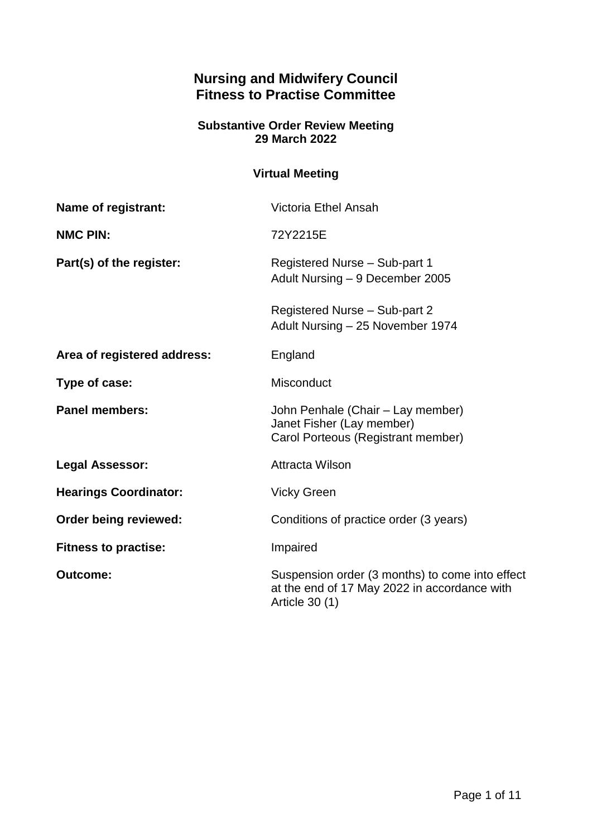# **Nursing and Midwifery Council Fitness to Practise Committee**

### **Substantive Order Review Meeting 29 March 2022**

## **Virtual Meeting**

| Name of registrant:          | <b>Victoria Ethel Ansah</b>                                                                                       |
|------------------------------|-------------------------------------------------------------------------------------------------------------------|
| <b>NMC PIN:</b>              | 72Y2215E                                                                                                          |
| Part(s) of the register:     | Registered Nurse - Sub-part 1<br>Adult Nursing - 9 December 2005                                                  |
|                              | Registered Nurse - Sub-part 2<br>Adult Nursing - 25 November 1974                                                 |
| Area of registered address:  | England                                                                                                           |
| Type of case:                | <b>Misconduct</b>                                                                                                 |
| <b>Panel members:</b>        | John Penhale (Chair - Lay member)<br>Janet Fisher (Lay member)<br>Carol Porteous (Registrant member)              |
| <b>Legal Assessor:</b>       | <b>Attracta Wilson</b>                                                                                            |
| <b>Hearings Coordinator:</b> | <b>Vicky Green</b>                                                                                                |
| Order being reviewed:        | Conditions of practice order (3 years)                                                                            |
| <b>Fitness to practise:</b>  | Impaired                                                                                                          |
| <b>Outcome:</b>              | Suspension order (3 months) to come into effect<br>at the end of 17 May 2022 in accordance with<br>Article 30 (1) |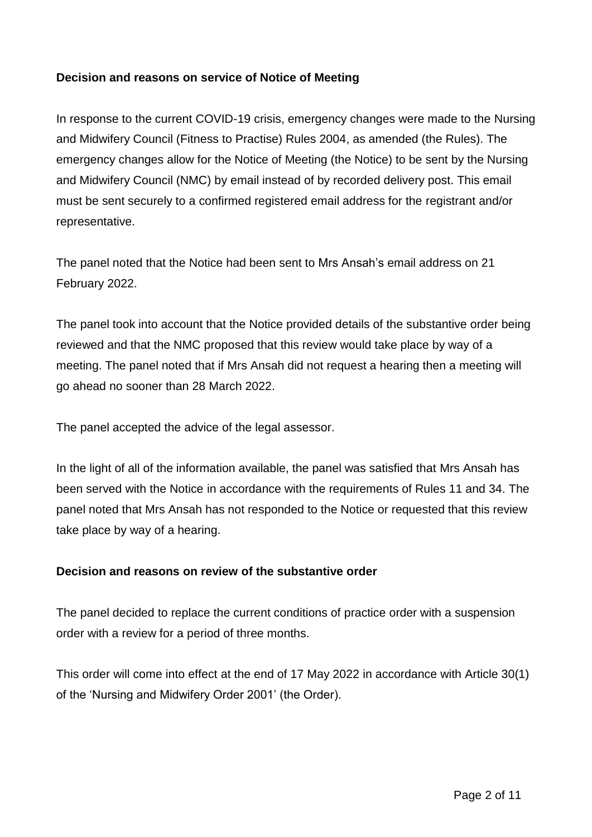### **Decision and reasons on service of Notice of Meeting**

In response to the current COVID-19 crisis, emergency changes were made to the Nursing and Midwifery Council (Fitness to Practise) Rules 2004, as amended (the Rules). The emergency changes allow for the Notice of Meeting (the Notice) to be sent by the Nursing and Midwifery Council (NMC) by email instead of by recorded delivery post. This email must be sent securely to a confirmed registered email address for the registrant and/or representative.

The panel noted that the Notice had been sent to Mrs Ansah's email address on 21 February 2022.

The panel took into account that the Notice provided details of the substantive order being reviewed and that the NMC proposed that this review would take place by way of a meeting. The panel noted that if Mrs Ansah did not request a hearing then a meeting will go ahead no sooner than 28 March 2022.

The panel accepted the advice of the legal assessor.

In the light of all of the information available, the panel was satisfied that Mrs Ansah has been served with the Notice in accordance with the requirements of Rules 11 and 34. The panel noted that Mrs Ansah has not responded to the Notice or requested that this review take place by way of a hearing.

### **Decision and reasons on review of the substantive order**

The panel decided to replace the current conditions of practice order with a suspension order with a review for a period of three months.

This order will come into effect at the end of 17 May 2022 in accordance with Article 30(1) of the 'Nursing and Midwifery Order 2001' (the Order).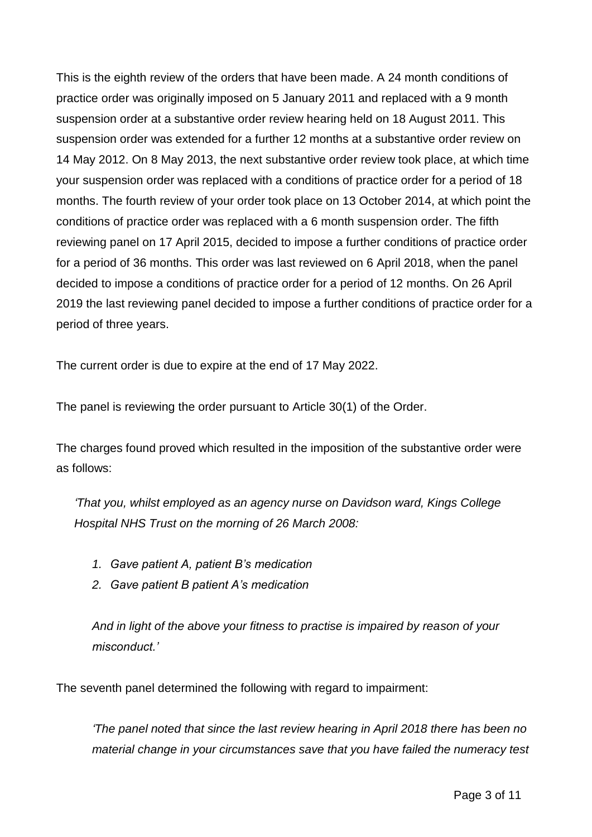This is the eighth review of the orders that have been made. A 24 month conditions of practice order was originally imposed on 5 January 2011 and replaced with a 9 month suspension order at a substantive order review hearing held on 18 August 2011. This suspension order was extended for a further 12 months at a substantive order review on 14 May 2012. On 8 May 2013, the next substantive order review took place, at which time your suspension order was replaced with a conditions of practice order for a period of 18 months. The fourth review of your order took place on 13 October 2014, at which point the conditions of practice order was replaced with a 6 month suspension order. The fifth reviewing panel on 17 April 2015, decided to impose a further conditions of practice order for a period of 36 months. This order was last reviewed on 6 April 2018, when the panel decided to impose a conditions of practice order for a period of 12 months. On 26 April 2019 the last reviewing panel decided to impose a further conditions of practice order for a period of three years.

The current order is due to expire at the end of 17 May 2022.

The panel is reviewing the order pursuant to Article 30(1) of the Order.

The charges found proved which resulted in the imposition of the substantive order were as follows:

*'That you, whilst employed as an agency nurse on Davidson ward, Kings College Hospital NHS Trust on the morning of 26 March 2008:*

- *1. Gave patient A, patient B's medication*
- *2. Gave patient B patient A's medication*

*And in light of the above your fitness to practise is impaired by reason of your misconduct.'*

The seventh panel determined the following with regard to impairment:

*'The panel noted that since the last review hearing in April 2018 there has been no material change in your circumstances save that you have failed the numeracy test*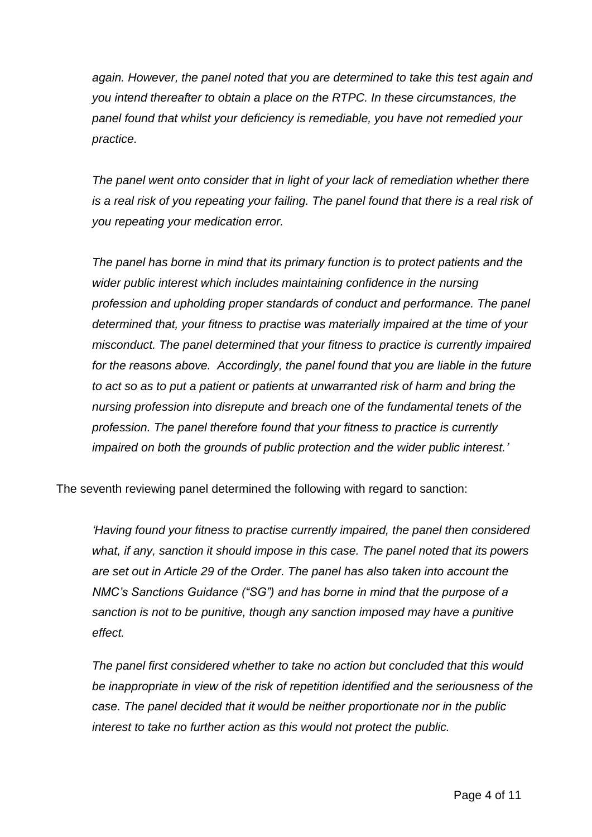*again. However, the panel noted that you are determined to take this test again and you intend thereafter to obtain a place on the RTPC. In these circumstances, the panel found that whilst your deficiency is remediable, you have not remedied your practice.* 

*The panel went onto consider that in light of your lack of remediation whether there is a real risk of you repeating your failing. The panel found that there is a real risk of you repeating your medication error.* 

*The panel has borne in mind that its primary function is to protect patients and the wider public interest which includes maintaining confidence in the nursing profession and upholding proper standards of conduct and performance. The panel determined that, your fitness to practise was materially impaired at the time of your misconduct. The panel determined that your fitness to practice is currently impaired*  for the reasons above. Accordingly, the panel found that you are liable in the future *to act so as to put a patient or patients at unwarranted risk of harm and bring the nursing profession into disrepute and breach one of the fundamental tenets of the profession. The panel therefore found that your fitness to practice is currently impaired on both the grounds of public protection and the wider public interest.'*

The seventh reviewing panel determined the following with regard to sanction:

*'Having found your fitness to practise currently impaired, the panel then considered what, if any, sanction it should impose in this case. The panel noted that its powers are set out in Article 29 of the Order. The panel has also taken into account the NMC's Sanctions Guidance ("SG") and has borne in mind that the purpose of a sanction is not to be punitive, though any sanction imposed may have a punitive effect.*

*The panel first considered whether to take no action but concluded that this would be inappropriate in view of the risk of repetition identified and the seriousness of the case. The panel decided that it would be neither proportionate nor in the public interest to take no further action as this would not protect the public.*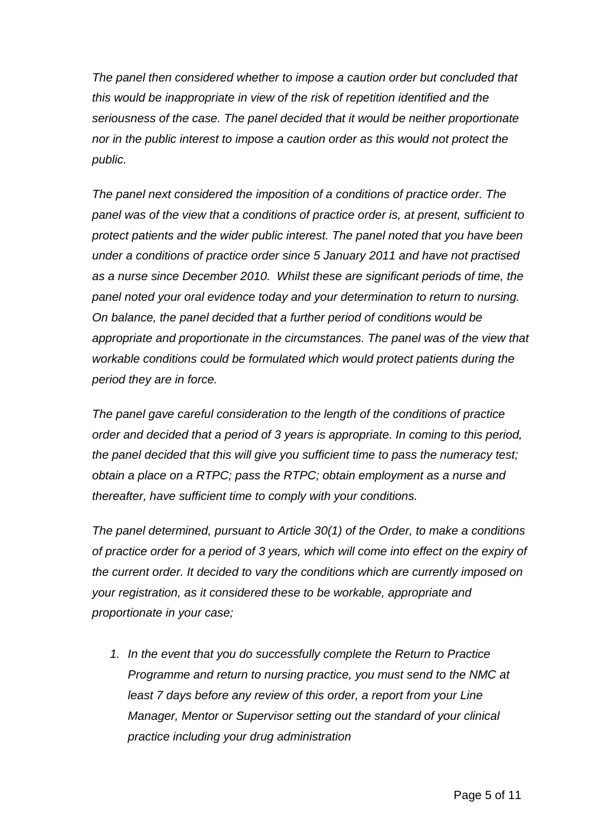*The panel then considered whether to impose a caution order but concluded that this would be inappropriate in view of the risk of repetition identified and the seriousness of the case. The panel decided that it would be neither proportionate nor in the public interest to impose a caution order as this would not protect the public.*

*The panel next considered the imposition of a conditions of practice order. The panel was of the view that a conditions of practice order is, at present, sufficient to protect patients and the wider public interest. The panel noted that you have been under a conditions of practice order since 5 January 2011 and have not practised as a nurse since December 2010. Whilst these are significant periods of time, the panel noted your oral evidence today and your determination to return to nursing. On balance, the panel decided that a further period of conditions would be appropriate and proportionate in the circumstances. The panel was of the view that workable conditions could be formulated which would protect patients during the period they are in force.*

*The panel gave careful consideration to the length of the conditions of practice order and decided that a period of 3 years is appropriate. In coming to this period, the panel decided that this will give you sufficient time to pass the numeracy test; obtain a place on a RTPC; pass the RTPC; obtain employment as a nurse and thereafter, have sufficient time to comply with your conditions.* 

*The panel determined, pursuant to Article 30(1) of the Order, to make a conditions of practice order for a period of 3 years, which will come into effect on the expiry of the current order. It decided to vary the conditions which are currently imposed on your registration, as it considered these to be workable, appropriate and proportionate in your case;*

*1. In the event that you do successfully complete the Return to Practice Programme and return to nursing practice, you must send to the NMC at least 7 days before any review of this order, a report from your Line Manager, Mentor or Supervisor setting out the standard of your clinical practice including your drug administration*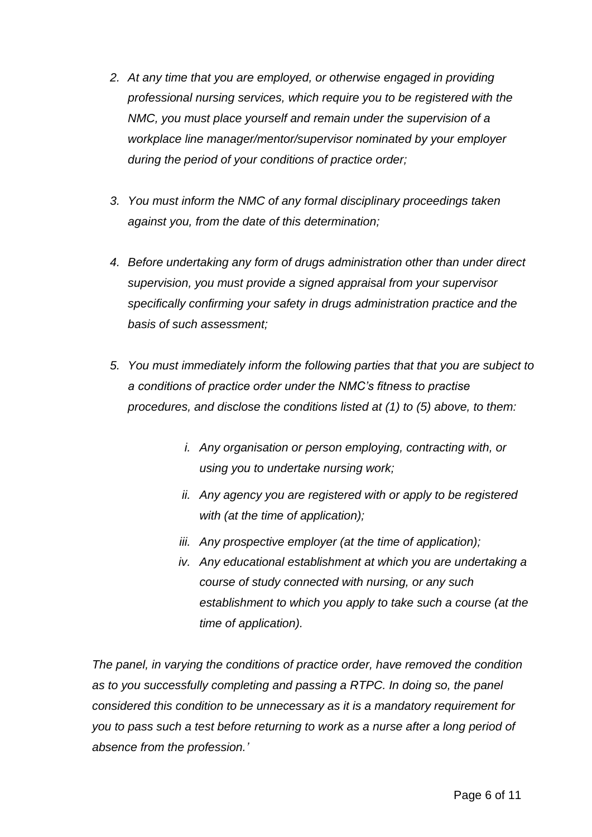- *2. At any time that you are employed, or otherwise engaged in providing professional nursing services, which require you to be registered with the NMC, you must place yourself and remain under the supervision of a workplace line manager/mentor/supervisor nominated by your employer during the period of your conditions of practice order;*
- *3. You must inform the NMC of any formal disciplinary proceedings taken against you, from the date of this determination;*
- *4. Before undertaking any form of drugs administration other than under direct supervision, you must provide a signed appraisal from your supervisor specifically confirming your safety in drugs administration practice and the basis of such assessment;*
- *5. You must immediately inform the following parties that that you are subject to a conditions of practice order under the NMC's fitness to practise procedures, and disclose the conditions listed at (1) to (5) above, to them:*
	- *i. Any organisation or person employing, contracting with, or using you to undertake nursing work;*
	- *ii. Any agency you are registered with or apply to be registered with (at the time of application);*
	- *iii. Any prospective employer (at the time of application);*
	- *iv. Any educational establishment at which you are undertaking a course of study connected with nursing, or any such establishment to which you apply to take such a course (at the time of application).*

*The panel, in varying the conditions of practice order, have removed the condition*  as to you successfully completing and passing a RTPC. In doing so, the panel *considered this condition to be unnecessary as it is a mandatory requirement for you to pass such a test before returning to work as a nurse after a long period of absence from the profession.'*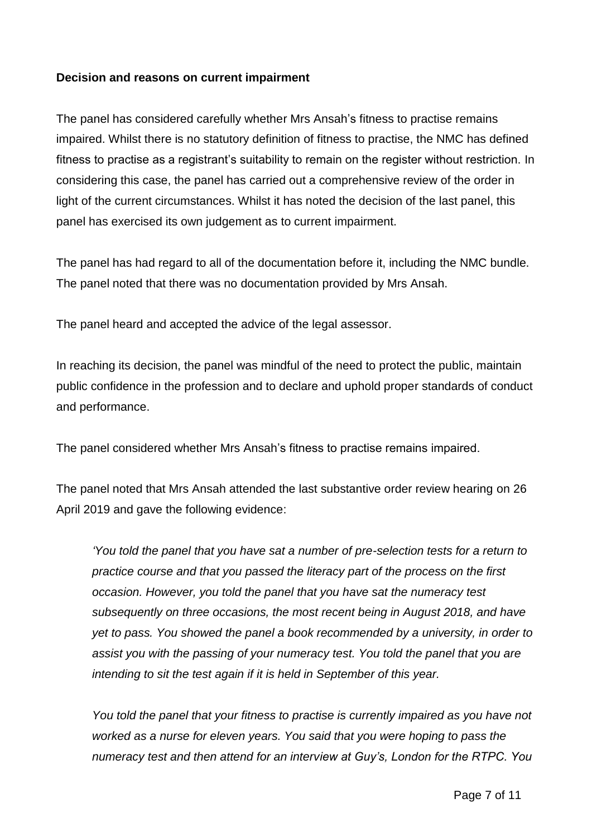### **Decision and reasons on current impairment**

The panel has considered carefully whether Mrs Ansah's fitness to practise remains impaired. Whilst there is no statutory definition of fitness to practise, the NMC has defined fitness to practise as a registrant's suitability to remain on the register without restriction. In considering this case, the panel has carried out a comprehensive review of the order in light of the current circumstances. Whilst it has noted the decision of the last panel, this panel has exercised its own judgement as to current impairment.

The panel has had regard to all of the documentation before it, including the NMC bundle. The panel noted that there was no documentation provided by Mrs Ansah.

The panel heard and accepted the advice of the legal assessor.

In reaching its decision, the panel was mindful of the need to protect the public, maintain public confidence in the profession and to declare and uphold proper standards of conduct and performance.

The panel considered whether Mrs Ansah's fitness to practise remains impaired.

The panel noted that Mrs Ansah attended the last substantive order review hearing on 26 April 2019 and gave the following evidence:

*'You told the panel that you have sat a number of pre-selection tests for a return to practice course and that you passed the literacy part of the process on the first occasion. However, you told the panel that you have sat the numeracy test subsequently on three occasions, the most recent being in August 2018, and have yet to pass. You showed the panel a book recommended by a university, in order to assist you with the passing of your numeracy test. You told the panel that you are intending to sit the test again if it is held in September of this year.*

*You told the panel that your fitness to practise is currently impaired as you have not worked as a nurse for eleven years. You said that you were hoping to pass the numeracy test and then attend for an interview at Guy's, London for the RTPC. You*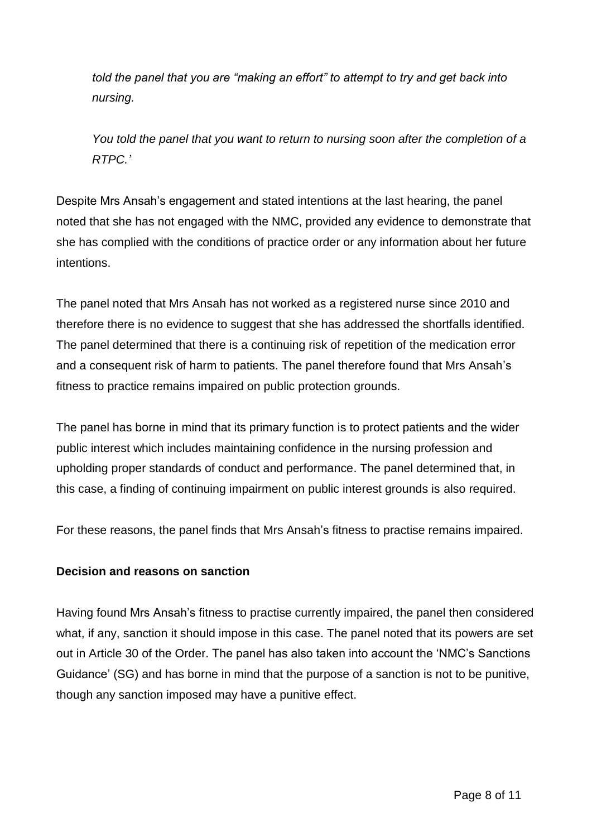*told the panel that you are "making an effort" to attempt to try and get back into nursing.*

*You told the panel that you want to return to nursing soon after the completion of a RTPC.'*

Despite Mrs Ansah's engagement and stated intentions at the last hearing, the panel noted that she has not engaged with the NMC, provided any evidence to demonstrate that she has complied with the conditions of practice order or any information about her future intentions.

The panel noted that Mrs Ansah has not worked as a registered nurse since 2010 and therefore there is no evidence to suggest that she has addressed the shortfalls identified. The panel determined that there is a continuing risk of repetition of the medication error and a consequent risk of harm to patients. The panel therefore found that Mrs Ansah's fitness to practice remains impaired on public protection grounds.

The panel has borne in mind that its primary function is to protect patients and the wider public interest which includes maintaining confidence in the nursing profession and upholding proper standards of conduct and performance. The panel determined that, in this case, a finding of continuing impairment on public interest grounds is also required.

For these reasons, the panel finds that Mrs Ansah's fitness to practise remains impaired.

### **Decision and reasons on sanction**

Having found Mrs Ansah's fitness to practise currently impaired, the panel then considered what, if any, sanction it should impose in this case. The panel noted that its powers are set out in Article 30 of the Order. The panel has also taken into account the 'NMC's Sanctions Guidance' (SG) and has borne in mind that the purpose of a sanction is not to be punitive, though any sanction imposed may have a punitive effect.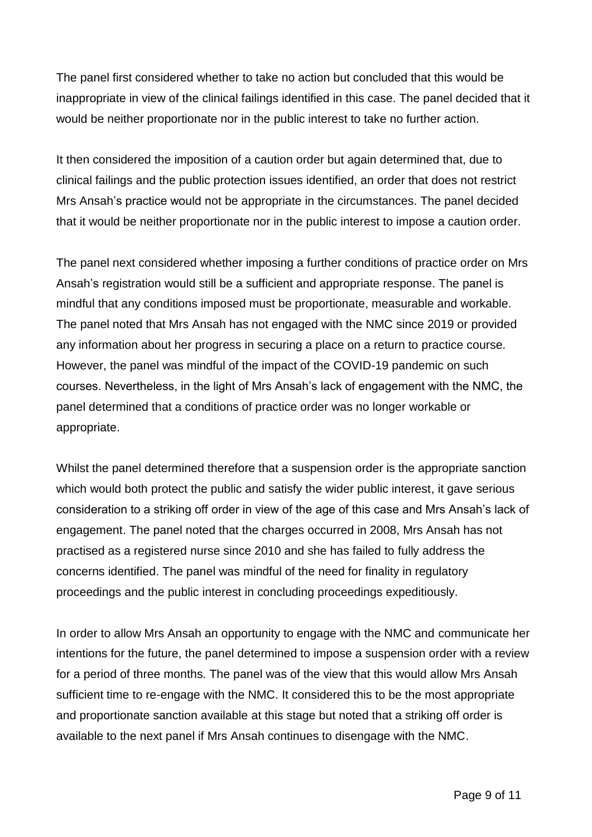The panel first considered whether to take no action but concluded that this would be inappropriate in view of the clinical failings identified in this case. The panel decided that it would be neither proportionate nor in the public interest to take no further action.

It then considered the imposition of a caution order but again determined that, due to clinical failings and the public protection issues identified, an order that does not restrict Mrs Ansah's practice would not be appropriate in the circumstances. The panel decided that it would be neither proportionate nor in the public interest to impose a caution order.

The panel next considered whether imposing a further conditions of practice order on Mrs Ansah's registration would still be a sufficient and appropriate response. The panel is mindful that any conditions imposed must be proportionate, measurable and workable. The panel noted that Mrs Ansah has not engaged with the NMC since 2019 or provided any information about her progress in securing a place on a return to practice course. However, the panel was mindful of the impact of the COVID-19 pandemic on such courses. Nevertheless, in the light of Mrs Ansah's lack of engagement with the NMC, the panel determined that a conditions of practice order was no longer workable or appropriate.

Whilst the panel determined therefore that a suspension order is the appropriate sanction which would both protect the public and satisfy the wider public interest, it gave serious consideration to a striking off order in view of the age of this case and Mrs Ansah's lack of engagement. The panel noted that the charges occurred in 2008, Mrs Ansah has not practised as a registered nurse since 2010 and she has failed to fully address the concerns identified. The panel was mindful of the need for finality in regulatory proceedings and the public interest in concluding proceedings expeditiously.

In order to allow Mrs Ansah an opportunity to engage with the NMC and communicate her intentions for the future, the panel determined to impose a suspension order with a review for a period of three months. The panel was of the view that this would allow Mrs Ansah sufficient time to re-engage with the NMC. It considered this to be the most appropriate and proportionate sanction available at this stage but noted that a striking off order is available to the next panel if Mrs Ansah continues to disengage with the NMC.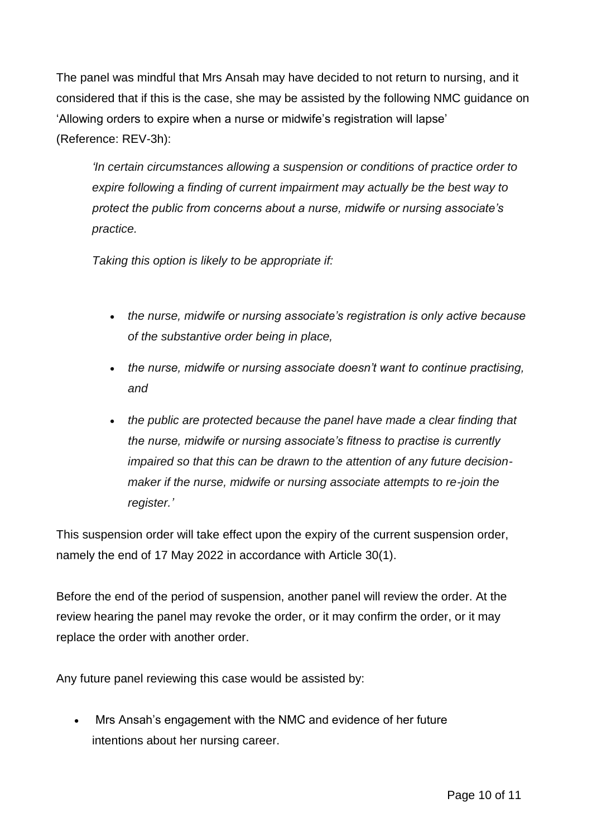The panel was mindful that Mrs Ansah may have decided to not return to nursing, and it considered that if this is the case, she may be assisted by the following NMC guidance on 'Allowing orders to expire when a nurse or midwife's registration will lapse' (Reference: REV-3h):

*'In certain circumstances allowing a suspension or conditions of practice order to expire following a finding of current impairment may actually be the best way to protect the public from concerns about a nurse, midwife or nursing associate's practice.*

*Taking this option is likely to be appropriate if:*

- *the nurse, midwife or nursing associate's registration is only active because of the substantive order being in place,*
- *the nurse, midwife or nursing associate doesn't want to continue practising, and*
- *the public are protected because the panel have made a clear finding that the nurse, midwife or nursing associate's fitness to practise is currently impaired so that this can be drawn to the attention of any future decisionmaker if the nurse, midwife or nursing associate attempts to re-join the register.'*

This suspension order will take effect upon the expiry of the current suspension order, namely the end of 17 May 2022 in accordance with Article 30(1).

Before the end of the period of suspension, another panel will review the order. At the review hearing the panel may revoke the order, or it may confirm the order, or it may replace the order with another order.

Any future panel reviewing this case would be assisted by:

 Mrs Ansah's engagement with the NMC and evidence of her future intentions about her nursing career.